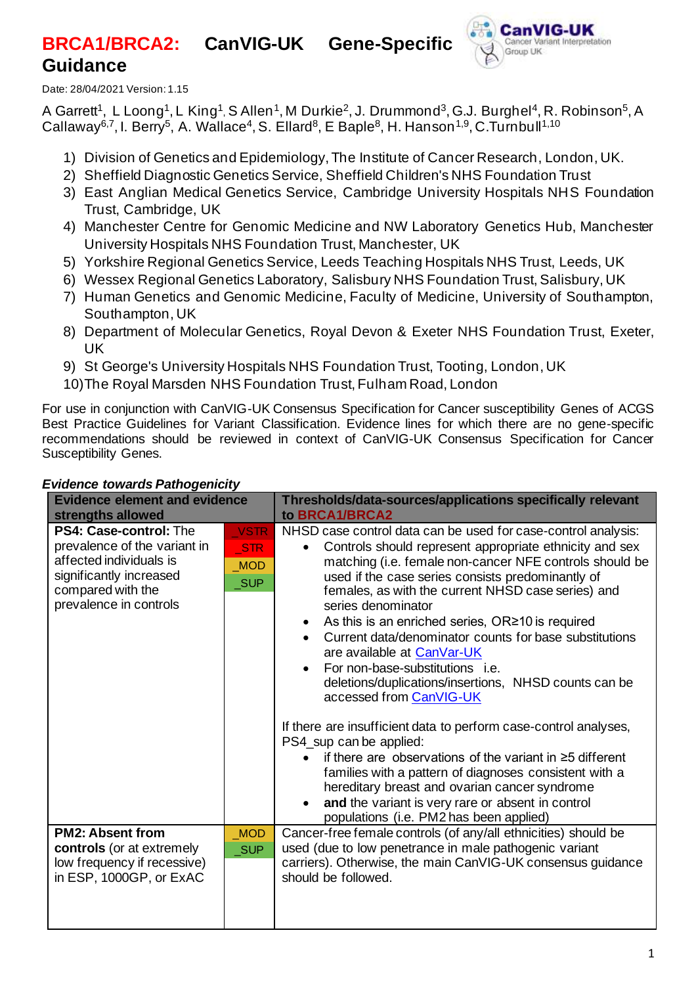# **BRCA1/BRCA2: CanVIG-UK Gene-Specific Guidance**



Date: 28/04/2021 Version: 1.15

A Garrett<sup>1</sup>, L Loong<sup>1</sup>, L King<sup>1</sup>, S Allen<sup>1</sup>, M Durkie<sup>2</sup>, J. Drummond<sup>3</sup>, G.J. Burghel<sup>4</sup>, R. Robinson<sup>5</sup>, A Callaway<sup>6,7</sup>, I. Berry<sup>5</sup>, A. Wallace<sup>4</sup>, S. Ellard<sup>8</sup>, E Baple<sup>8</sup>, H. Hanson<sup>1,9</sup>, C.Turnbull<sup>1,10</sup>

- 1) Division of Genetics and Epidemiology, The Institute of Cancer Research, London, UK.
- 2) Sheffield Diagnostic Genetics Service, Sheffield Children's NHS Foundation Trust
- 3) East Anglian Medical Genetics Service, Cambridge University Hospitals NHS Foundation Trust, Cambridge, UK
- 4) Manchester Centre for Genomic Medicine and NW Laboratory Genetics Hub, Manchester University Hospitals NHS Foundation Trust, Manchester, UK
- 5) Yorkshire Regional Genetics Service, Leeds Teaching Hospitals NHS Trust, Leeds, UK
- 6) Wessex Regional Genetics Laboratory, Salisbury NHS Foundation Trust, Salisbury, UK
- 7) Human Genetics and Genomic Medicine, Faculty of Medicine, University of Southampton, Southampton, UK
- 8) Department of Molecular Genetics, Royal Devon & Exeter NHS Foundation Trust, Exeter, UK
- 9) St George's University Hospitals NHS Foundation Trust, Tooting, London, UK
- 10)The Royal Marsden NHS Foundation Trust, Fulham Road, London

For use in conjunction with CanVIG-UK Consensus Specification for Cancer susceptibility Genes of ACGS Best Practice Guidelines for Variant Classification. Evidence lines for which there are no gene-specific recommendations should be reviewed in context of CanVIG-UK Consensus Specification for Cancer Susceptibility Genes.

| <b>Evidence element and evidence</b><br>strengths allowed                                                                                                   |                                                | Thresholds/data-sources/applications specifically relevant<br>to BRCA1/BRCA2                                                                                                                                                                                                                                                                                                                                                                                                                                                                                                                                                                                                                                                                                                                                                                                                                                                                                                            |
|-------------------------------------------------------------------------------------------------------------------------------------------------------------|------------------------------------------------|-----------------------------------------------------------------------------------------------------------------------------------------------------------------------------------------------------------------------------------------------------------------------------------------------------------------------------------------------------------------------------------------------------------------------------------------------------------------------------------------------------------------------------------------------------------------------------------------------------------------------------------------------------------------------------------------------------------------------------------------------------------------------------------------------------------------------------------------------------------------------------------------------------------------------------------------------------------------------------------------|
| PS4: Case-control: The<br>prevalence of the variant in<br>affected individuals is<br>significantly increased<br>compared with the<br>prevalence in controls | <b>VSTR</b><br><b>STR</b><br><b>MOD</b><br>SUP | NHSD case control data can be used for case-control analysis:<br>Controls should represent appropriate ethnicity and sex<br>matching (i.e. female non-cancer NFE controls should be<br>used if the case series consists predominantly of<br>females, as with the current NHSD case series) and<br>series denominator<br>As this is an enriched series, OR≥10 is required<br>$\bullet$<br>Current data/denominator counts for base substitutions<br>are available at CanVar-UK<br>For non-base-substitutions <i>i.e.</i><br>deletions/duplications/insertions, NHSD counts can be<br>accessed from CanVIG-UK<br>If there are insufficient data to perform case-control analyses,<br>PS4_sup can be applied:<br>if there are observations of the variant in $\geq$ 5 different<br>families with a pattern of diagnoses consistent with a<br>hereditary breast and ovarian cancer syndrome<br>and the variant is very rare or absent in control<br>populations (i.e. PM2 has been applied) |
| <b>PM2: Absent from</b><br><b>controls</b> (or at extremely<br>low frequency if recessive)<br>in ESP, 1000GP, or ExAC                                       | <b>MOD</b><br><b>SUP</b>                       | Cancer-free female controls (of any/all ethnicities) should be<br>used (due to low penetrance in male pathogenic variant<br>carriers). Otherwise, the main CanVIG-UK consensus guidance<br>should be followed.                                                                                                                                                                                                                                                                                                                                                                                                                                                                                                                                                                                                                                                                                                                                                                          |

## *Evidence towards Pathogenicity*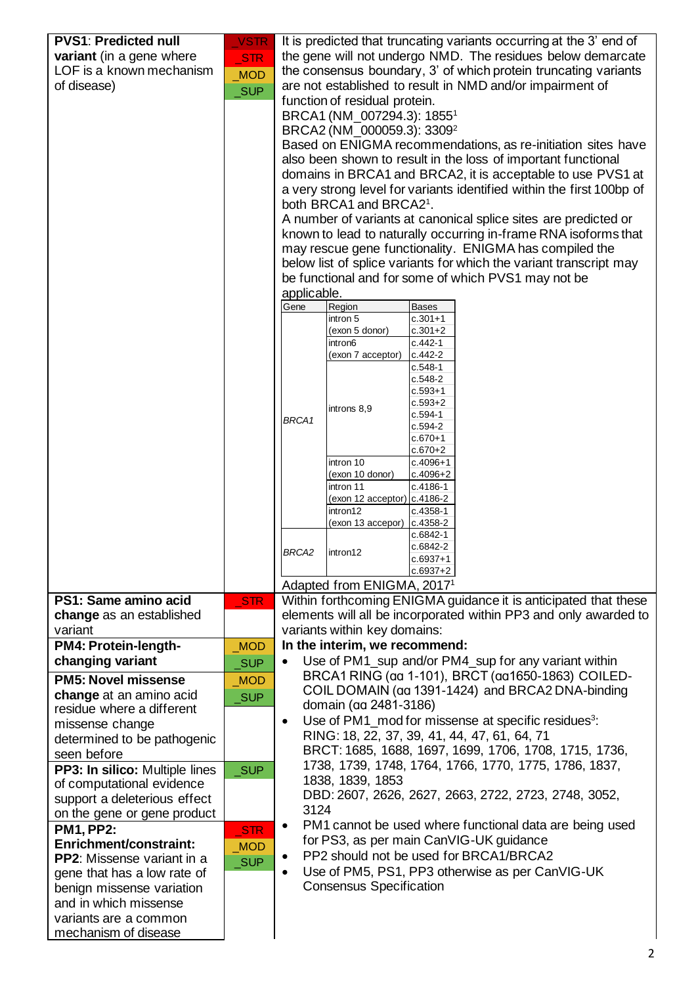| <b>PVS1: Predicted null</b>       | <b>VSTR</b> | It is predicted that truncating variants occurring at the 3' end of                                                       |  |  |  |  |
|-----------------------------------|-------------|---------------------------------------------------------------------------------------------------------------------------|--|--|--|--|
| variant (in a gene where          | <b>STR</b>  | the gene will not undergo NMD. The residues below demarcate                                                               |  |  |  |  |
| LOF is a known mechanism          | <b>MOD</b>  | the consensus boundary, 3' of which protein truncating variants                                                           |  |  |  |  |
| of disease)                       | <b>SUP</b>  | are not established to result in NMD and/or impairment of                                                                 |  |  |  |  |
|                                   |             | function of residual protein.                                                                                             |  |  |  |  |
|                                   |             | BRCA1 (NM 007294.3): 1855 <sup>1</sup>                                                                                    |  |  |  |  |
|                                   |             | BRCA2 (NM_000059.3): 3309 <sup>2</sup>                                                                                    |  |  |  |  |
|                                   |             | Based on ENIGMA recommendations, as re-initiation sites have                                                              |  |  |  |  |
|                                   |             | also been shown to result in the loss of important functional                                                             |  |  |  |  |
|                                   |             | domains in BRCA1 and BRCA2, it is acceptable to use PVS1 at                                                               |  |  |  |  |
|                                   |             | a very strong level for variants identified within the first 100bp of                                                     |  |  |  |  |
|                                   |             | both BRCA1 and BRCA21.                                                                                                    |  |  |  |  |
|                                   |             | A number of variants at canonical splice sites are predicted or                                                           |  |  |  |  |
|                                   |             | known to lead to naturally occurring in-frame RNA isoforms that                                                           |  |  |  |  |
|                                   |             | may rescue gene functionality. ENIGMA has compiled the                                                                    |  |  |  |  |
|                                   |             | below list of splice variants for which the variant transcript may<br>be functional and for some of which PVS1 may not be |  |  |  |  |
|                                   |             | applicable.                                                                                                               |  |  |  |  |
|                                   |             | Gene<br>Region<br><b>Bases</b>                                                                                            |  |  |  |  |
|                                   |             | intron 5<br>c.301+1                                                                                                       |  |  |  |  |
|                                   |             | $c.301 + 2$<br>(exon 5 donor)                                                                                             |  |  |  |  |
|                                   |             | intron6<br>$c.442-1$<br>c.442-2<br>(exon 7 acceptor)                                                                      |  |  |  |  |
|                                   |             | $c.548-1$                                                                                                                 |  |  |  |  |
|                                   |             | $c.548-2$                                                                                                                 |  |  |  |  |
|                                   |             | c.593+1                                                                                                                   |  |  |  |  |
|                                   |             | $c.593 + 2$<br>introns 8,9<br>$c.594-1$                                                                                   |  |  |  |  |
|                                   |             | BRCA1<br>c.594-2                                                                                                          |  |  |  |  |
|                                   |             | $c.670 + 1$                                                                                                               |  |  |  |  |
|                                   |             | $c.670 + 2$<br>intron 10                                                                                                  |  |  |  |  |
|                                   |             | $c.4096 + 1$<br>(exon 10 donor)<br>c.4096+2                                                                               |  |  |  |  |
|                                   |             | c.4186-1<br>intron 11                                                                                                     |  |  |  |  |
|                                   |             | (exon 12 acceptor) c.4186-2                                                                                               |  |  |  |  |
|                                   |             | intron12<br>c.4358-1<br>c.4358-2<br>(exon 13 accepor)                                                                     |  |  |  |  |
|                                   |             | c.6842-1                                                                                                                  |  |  |  |  |
|                                   |             | c.6842-2<br>BRCA <sub>2</sub><br>intron12                                                                                 |  |  |  |  |
|                                   |             | c.6937+1                                                                                                                  |  |  |  |  |
|                                   |             | c.6937+2<br>Adapted from ENIGMA, 2017 <sup>1</sup>                                                                        |  |  |  |  |
| PS1: Same amino acid              | STR         | Within forthcoming ENIGMA guidance it is anticipated that these                                                           |  |  |  |  |
| change as an established          |             | elements will all be incorporated within PP3 and only awarded to                                                          |  |  |  |  |
| variant                           |             | variants within key domains:                                                                                              |  |  |  |  |
| PM4: Protein-length-              | <b>MOD</b>  | In the interim, we recommend:                                                                                             |  |  |  |  |
| changing variant                  | <b>SUP</b>  | Use of PM1_sup and/or PM4_sup for any variant within<br>$\bullet$                                                         |  |  |  |  |
| <b>PM5: Novel missense</b>        |             | BRCA1 RING (aa 1-101), BRCT (aa1650-1863) COILED-                                                                         |  |  |  |  |
| change at an amino acid           | <b>MOD</b>  | COIL DOMAIN (aa 1391-1424) and BRCA2 DNA-binding                                                                          |  |  |  |  |
| residue where a different         | <b>SUP</b>  | domain (aa 2481-3186)                                                                                                     |  |  |  |  |
| missense change                   |             | Use of PM1_mod for missense at specific residues <sup>3</sup> :<br>$\bullet$                                              |  |  |  |  |
| determined to be pathogenic       |             | RING: 18, 22, 37, 39, 41, 44, 47, 61, 64, 71                                                                              |  |  |  |  |
| seen before                       |             | BRCT: 1685, 1688, 1697, 1699, 1706, 1708, 1715, 1736,                                                                     |  |  |  |  |
| PP3: In silico: Multiple lines    | <b>SUP</b>  | 1738, 1739, 1748, 1764, 1766, 1770, 1775, 1786, 1837,                                                                     |  |  |  |  |
| of computational evidence         |             | 1838, 1839, 1853                                                                                                          |  |  |  |  |
| support a deleterious effect      |             | DBD: 2607, 2626, 2627, 2663, 2722, 2723, 2748, 3052,                                                                      |  |  |  |  |
| on the gene or gene product       |             | 3124                                                                                                                      |  |  |  |  |
| <b>PM1, PP2:</b>                  | <b>STR</b>  | PM1 cannot be used where functional data are being used<br>$\bullet$                                                      |  |  |  |  |
| Enrichment/constraint:            | <b>MOD</b>  | for PS3, as per main CanVIG-UK guidance                                                                                   |  |  |  |  |
| <b>PP2:</b> Missense variant in a | _SUP        | PP2 should not be used for BRCA1/BRCA2<br>٠                                                                               |  |  |  |  |
| gene that has a low rate of       |             | Use of PM5, PS1, PP3 otherwise as per CanVIG-UK<br>$\bullet$                                                              |  |  |  |  |
| benign missense variation         |             | <b>Consensus Specification</b>                                                                                            |  |  |  |  |
| and in which missense             |             |                                                                                                                           |  |  |  |  |
| variants are a common             |             |                                                                                                                           |  |  |  |  |
| mechanism of disease              |             |                                                                                                                           |  |  |  |  |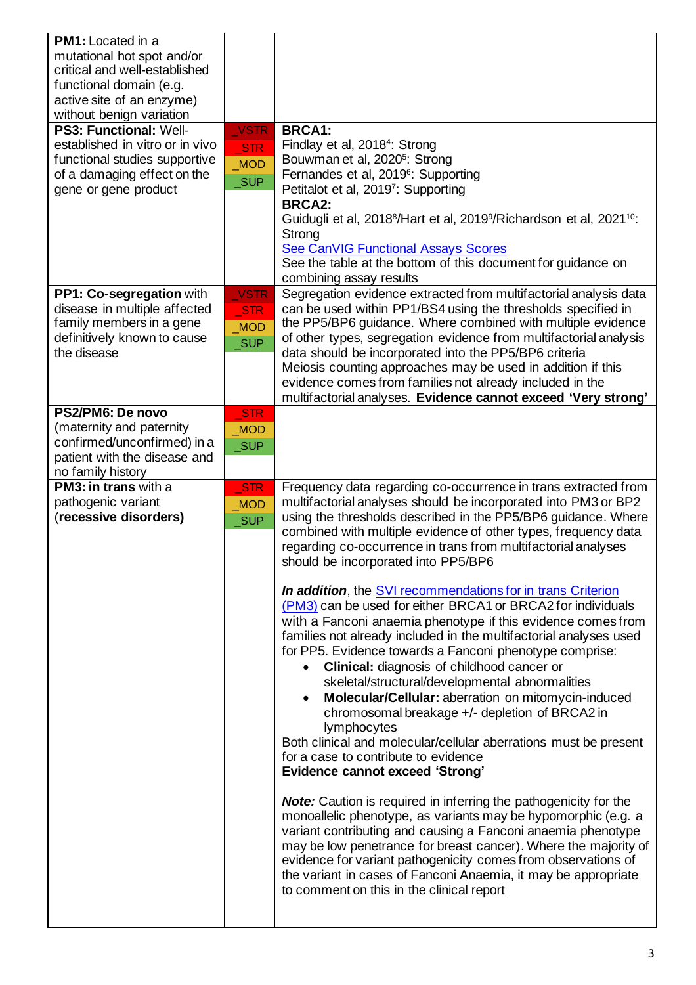| <b>PM1:</b> Located in a<br>mutational hot spot and/or<br>critical and well-established<br>functional domain (e.g.<br>active site of an enzyme)<br>without benign variation<br>PS3: Functional: Well-<br>established in vitro or in vivo<br>functional studies supportive<br>of a damaging effect on the<br>gene or gene product | <b>VSTR</b><br><b>STR</b><br><b>MOD</b><br><b>SUP</b>                      | <b>BRCA1:</b><br>Findlay et al, 2018 <sup>4</sup> : Strong<br>Bouwman et al, 2020 <sup>5</sup> : Strong<br>Fernandes et al, 2019 <sup>6</sup> : Supporting<br>Petitalot et al, 2019 <sup>7</sup> : Supporting<br><b>BRCA2:</b><br>Guidugli et al, 2018 <sup>8</sup> /Hart et al, 2019 <sup>9</sup> /Richardson et al, 2021 <sup>10</sup> :<br>Strong<br>See CanVIG Functional Assays Scores<br>See the table at the bottom of this document for guidance on                                                                                                                                                                                                                                                                                                                                                                                                                                        |
|----------------------------------------------------------------------------------------------------------------------------------------------------------------------------------------------------------------------------------------------------------------------------------------------------------------------------------|----------------------------------------------------------------------------|----------------------------------------------------------------------------------------------------------------------------------------------------------------------------------------------------------------------------------------------------------------------------------------------------------------------------------------------------------------------------------------------------------------------------------------------------------------------------------------------------------------------------------------------------------------------------------------------------------------------------------------------------------------------------------------------------------------------------------------------------------------------------------------------------------------------------------------------------------------------------------------------------|
| PP1: Co-segregation with<br>disease in multiple affected<br>family members in a gene<br>definitively known to cause<br>the disease<br>PS2/PM6: De novo<br>(maternity and paternity                                                                                                                                               | <b>VSTR</b><br><b>STR</b><br><b>MOD</b><br><b>SUP</b><br>STR<br><b>MOD</b> | combining assay results<br>Segregation evidence extracted from multifactorial analysis data<br>can be used within PP1/BS4 using the thresholds specified in<br>the PP5/BP6 guidance. Where combined with multiple evidence<br>of other types, segregation evidence from multifactorial analysis<br>data should be incorporated into the PP5/BP6 criteria<br>Meiosis counting approaches may be used in addition if this<br>evidence comes from families not already included in the<br>multifactorial analyses. Evidence cannot exceed 'Very strong'                                                                                                                                                                                                                                                                                                                                               |
| confirmed/unconfirmed) in a<br>patient with the disease and<br>no family history<br><b>PM3: in trans with a</b><br>pathogenic variant<br>(recessive disorders)                                                                                                                                                                   | SUP<br><b>STR</b><br><b>MOD</b><br><b>SUP</b>                              | Frequency data regarding co-occurrence in trans extracted from<br>multifactorial analyses should be incorporated into PM3 or BP2<br>using the thresholds described in the PP5/BP6 guidance. Where                                                                                                                                                                                                                                                                                                                                                                                                                                                                                                                                                                                                                                                                                                  |
|                                                                                                                                                                                                                                                                                                                                  |                                                                            | combined with multiple evidence of other types, frequency data<br>regarding co-occurrence in trans from multifactorial analyses<br>should be incorporated into PP5/BP6<br><b>In addition</b> , the SVI recommendations for in trans Criterion<br>(PM3) can be used for either BRCA1 or BRCA2 for individuals<br>with a Fanconi anaemia phenotype if this evidence comes from<br>families not already included in the multifactorial analyses used<br>for PP5. Evidence towards a Fanconi phenotype comprise:<br><b>Clinical:</b> diagnosis of childhood cancer or<br>skeletal/structural/developmental abnormalities<br>Molecular/Cellular: aberration on mitomycin-induced<br>chromosomal breakage +/- depletion of BRCA2 in<br>lymphocytes<br>Both clinical and molecular/cellular aberrations must be present<br>for a case to contribute to evidence<br><b>Evidence cannot exceed 'Strong'</b> |
|                                                                                                                                                                                                                                                                                                                                  |                                                                            | <b>Note:</b> Caution is required in inferring the pathogenicity for the<br>monoallelic phenotype, as variants may be hypomorphic (e.g. a<br>variant contributing and causing a Fanconi anaemia phenotype<br>may be low penetrance for breast cancer). Where the majority of<br>evidence for variant pathogenicity comes from observations of<br>the variant in cases of Fanconi Anaemia, it may be appropriate<br>to comment on this in the clinical report                                                                                                                                                                                                                                                                                                                                                                                                                                        |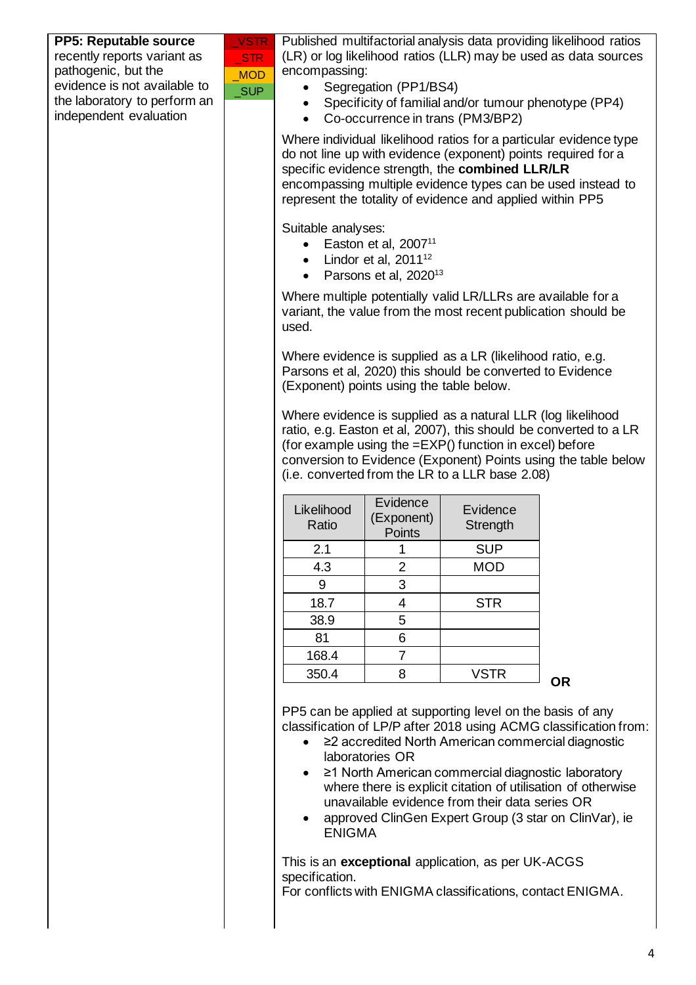| <b>PP5: Reputable source</b> | <b>VSTR</b> |                                                       |                                                                                                                         |                                                                                                                  | Published multifactorial analysis data providing likelihood ratios |  |
|------------------------------|-------------|-------------------------------------------------------|-------------------------------------------------------------------------------------------------------------------------|------------------------------------------------------------------------------------------------------------------|--------------------------------------------------------------------|--|
| recently reports variant as  | <b>STR</b>  |                                                       |                                                                                                                         |                                                                                                                  | (LR) or log likelihood ratios (LLR) may be used as data sources    |  |
| pathogenic, but the          | <b>MOD</b>  | encompassing:                                         |                                                                                                                         |                                                                                                                  |                                                                    |  |
| evidence is not available to | SUP         | Segregation (PP1/BS4)                                 |                                                                                                                         |                                                                                                                  |                                                                    |  |
| the laboratory to perform an |             | Specificity of familial and/or tumour phenotype (PP4) |                                                                                                                         |                                                                                                                  |                                                                    |  |
| independent evaluation       |             | $\bullet$                                             |                                                                                                                         | Co-occurrence in trans (PM3/BP2)                                                                                 |                                                                    |  |
|                              |             |                                                       |                                                                                                                         |                                                                                                                  | Where individual likelihood ratios for a particular evidence type  |  |
|                              |             |                                                       |                                                                                                                         | do not line up with evidence (exponent) points required for a<br>specific evidence strength, the combined LLR/LR |                                                                    |  |
|                              |             |                                                       |                                                                                                                         |                                                                                                                  | encompassing multiple evidence types can be used instead to        |  |
|                              |             |                                                       |                                                                                                                         | represent the totality of evidence and applied within PP5                                                        |                                                                    |  |
|                              |             |                                                       | Suitable analyses:                                                                                                      |                                                                                                                  |                                                                    |  |
|                              |             |                                                       | Easton et al, $200711$                                                                                                  |                                                                                                                  |                                                                    |  |
|                              |             | $\bullet$                                             | Lindor et al, $2011^{12}$                                                                                               |                                                                                                                  |                                                                    |  |
|                              |             |                                                       | Parsons et al, 2020 <sup>13</sup>                                                                                       |                                                                                                                  |                                                                    |  |
|                              |             |                                                       |                                                                                                                         | Where multiple potentially valid LR/LLRs are available for a                                                     |                                                                    |  |
|                              |             |                                                       |                                                                                                                         | variant, the value from the most recent publication should be                                                    |                                                                    |  |
|                              |             | used.                                                 |                                                                                                                         |                                                                                                                  |                                                                    |  |
|                              |             |                                                       |                                                                                                                         |                                                                                                                  |                                                                    |  |
|                              |             |                                                       | Where evidence is supplied as a LR (likelihood ratio, e.g.<br>Parsons et al, 2020) this should be converted to Evidence |                                                                                                                  |                                                                    |  |
|                              |             | (Exponent) points using the table below.              |                                                                                                                         |                                                                                                                  |                                                                    |  |
|                              |             |                                                       |                                                                                                                         |                                                                                                                  |                                                                    |  |
|                              |             |                                                       |                                                                                                                         | Where evidence is supplied as a natural LLR (log likelihood                                                      | ratio, e.g. Easton et al, 2007), this should be converted to a LR  |  |
|                              |             |                                                       |                                                                                                                         | (for example using the $=$ EXP() function in excel) before                                                       |                                                                    |  |
|                              |             |                                                       |                                                                                                                         |                                                                                                                  | conversion to Evidence (Exponent) Points using the table below     |  |
|                              |             |                                                       |                                                                                                                         | (i.e. converted from the LR to a LLR base 2.08)                                                                  |                                                                    |  |
|                              |             |                                                       | Evidence                                                                                                                |                                                                                                                  |                                                                    |  |
|                              |             | Likelihood                                            | (Exponent)                                                                                                              | Evidence                                                                                                         |                                                                    |  |
|                              |             | Ratio                                                 | Points                                                                                                                  | Strength                                                                                                         |                                                                    |  |
|                              |             | 2.1                                                   | 1                                                                                                                       | <b>SUP</b>                                                                                                       |                                                                    |  |
|                              |             | 4.3                                                   | $\overline{2}$                                                                                                          | <b>MOD</b>                                                                                                       |                                                                    |  |
|                              |             | 9                                                     | 3                                                                                                                       |                                                                                                                  |                                                                    |  |
|                              |             | 18.7                                                  | 4                                                                                                                       | <b>STR</b>                                                                                                       |                                                                    |  |
|                              |             | 38.9                                                  | 5                                                                                                                       |                                                                                                                  |                                                                    |  |
|                              |             | 81                                                    | $\,6$                                                                                                                   |                                                                                                                  |                                                                    |  |
|                              |             | 168.4                                                 | $\overline{7}$                                                                                                          |                                                                                                                  |                                                                    |  |
|                              |             | 350.4                                                 | 8                                                                                                                       | <b>VSTR</b>                                                                                                      | <b>OR</b>                                                          |  |
|                              |             |                                                       |                                                                                                                         |                                                                                                                  |                                                                    |  |
|                              |             |                                                       |                                                                                                                         | PP5 can be applied at supporting level on the basis of any                                                       |                                                                    |  |
|                              |             |                                                       |                                                                                                                         |                                                                                                                  | classification of LP/P after 2018 using ACMG classification from:  |  |
|                              |             | $\bullet$                                             | laboratories OR                                                                                                         | ≥2 accredited North American commercial diagnostic                                                               |                                                                    |  |
|                              |             |                                                       |                                                                                                                         | ≥1 North American commercial diagnostic laboratory                                                               |                                                                    |  |
|                              |             |                                                       |                                                                                                                         |                                                                                                                  | where there is explicit citation of utilisation of otherwise       |  |
|                              |             |                                                       |                                                                                                                         | unavailable evidence from their data series OR                                                                   |                                                                    |  |
|                              |             |                                                       |                                                                                                                         | approved ClinGen Expert Group (3 star on ClinVar), ie                                                            |                                                                    |  |
|                              |             | <b>ENIGMA</b>                                         |                                                                                                                         |                                                                                                                  |                                                                    |  |
|                              |             |                                                       |                                                                                                                         | This is an exceptional application, as per UK-ACGS                                                               |                                                                    |  |
|                              |             | specification.                                        |                                                                                                                         |                                                                                                                  |                                                                    |  |
|                              |             |                                                       |                                                                                                                         | For conflicts with ENIGMA classifications, contact ENIGMA.                                                       |                                                                    |  |
|                              |             |                                                       |                                                                                                                         |                                                                                                                  |                                                                    |  |
|                              |             |                                                       |                                                                                                                         |                                                                                                                  |                                                                    |  |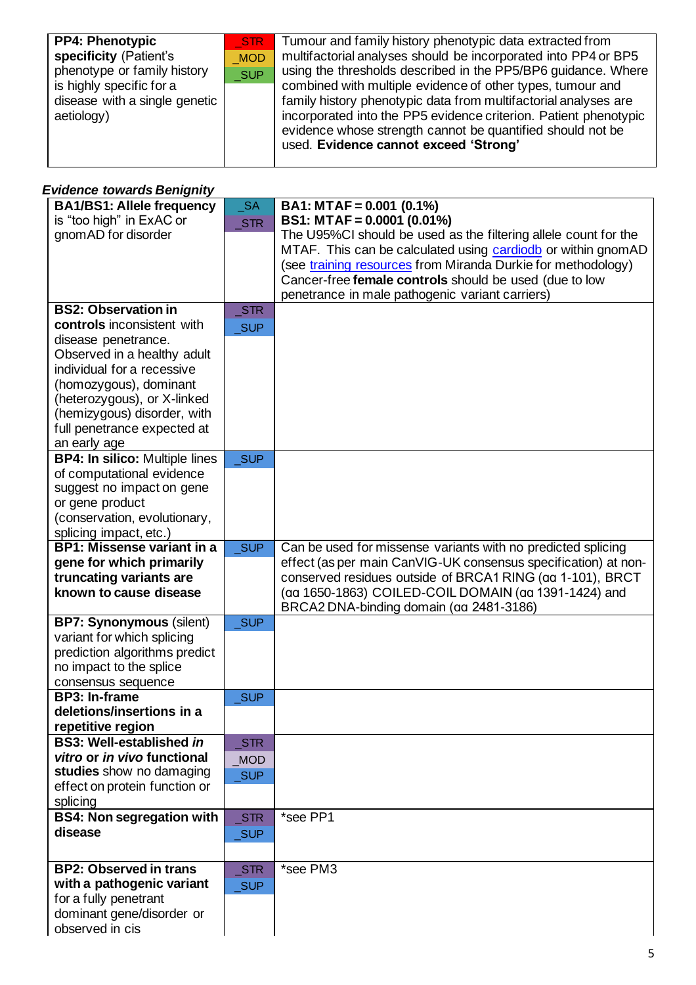| <b>PP4: Phenotypic</b><br>specificity (Patient's<br>phenotype or family history<br>is highly specific for a<br>disease with a single genetic<br>aetiology) | STR<br><b>MOD</b><br>SUP | Tumour and family history phenotypic data extracted from<br>multifactorial analyses should be incorporated into PP4 or BP5<br>using the thresholds described in the PP5/BP6 guidance. Where<br>combined with multiple evidence of other types, tumour and<br>family history phenotypic data from multifactorial analyses are<br>incorporated into the PP5 evidence criterion. Patient phenotypic<br>evidence whose strength cannot be quantified should not be<br>used. Evidence cannot exceed 'Strong' |
|------------------------------------------------------------------------------------------------------------------------------------------------------------|--------------------------|---------------------------------------------------------------------------------------------------------------------------------------------------------------------------------------------------------------------------------------------------------------------------------------------------------------------------------------------------------------------------------------------------------------------------------------------------------------------------------------------------------|
|------------------------------------------------------------------------------------------------------------------------------------------------------------|--------------------------|---------------------------------------------------------------------------------------------------------------------------------------------------------------------------------------------------------------------------------------------------------------------------------------------------------------------------------------------------------------------------------------------------------------------------------------------------------------------------------------------------------|

#### *Evidence towards Benignity*

| <b>BA1/BS1: Allele frequency</b><br>is "too high" in ExAC or<br>gnomAD for disorder | $\_SA$<br>STR       | $BA1: MTAF = 0.001 (0.1%)$<br>$BS1: MTAF = 0.0001 (0.01%)$<br>The U95%CI should be used as the filtering allele count for the                                                                                                             |
|-------------------------------------------------------------------------------------|---------------------|-------------------------------------------------------------------------------------------------------------------------------------------------------------------------------------------------------------------------------------------|
|                                                                                     |                     | MTAF. This can be calculated using cardiodb or within gnomAD<br>(see training resources from Miranda Durkie for methodology)<br>Cancer-free female controls should be used (due to low<br>penetrance in male pathogenic variant carriers) |
| <b>BS2: Observation in</b>                                                          | STR                 |                                                                                                                                                                                                                                           |
| controls inconsistent with                                                          | <b>SUP</b>          |                                                                                                                                                                                                                                           |
| disease penetrance.                                                                 |                     |                                                                                                                                                                                                                                           |
| Observed in a healthy adult                                                         |                     |                                                                                                                                                                                                                                           |
| individual for a recessive                                                          |                     |                                                                                                                                                                                                                                           |
| (homozygous), dominant                                                              |                     |                                                                                                                                                                                                                                           |
| (heterozygous), or X-linked                                                         |                     |                                                                                                                                                                                                                                           |
| (hemizygous) disorder, with                                                         |                     |                                                                                                                                                                                                                                           |
| full penetrance expected at                                                         |                     |                                                                                                                                                                                                                                           |
| an early age                                                                        |                     |                                                                                                                                                                                                                                           |
| <b>BP4: In silico: Multiple lines</b><br>of computational evidence                  | SUP                 |                                                                                                                                                                                                                                           |
| suggest no impact on gene                                                           |                     |                                                                                                                                                                                                                                           |
| or gene product                                                                     |                     |                                                                                                                                                                                                                                           |
| (conservation, evolutionary,                                                        |                     |                                                                                                                                                                                                                                           |
| splicing impact, etc.)                                                              |                     |                                                                                                                                                                                                                                           |
| <b>BP1: Missense variant in a</b>                                                   | <b>SUP</b>          | Can be used for missense variants with no predicted splicing                                                                                                                                                                              |
| gene for which primarily                                                            |                     | effect (as per main CanVIG-UK consensus specification) at non-                                                                                                                                                                            |
| truncating variants are                                                             |                     | conserved residues outside of BRCA1 RING (aa 1-101), BRCT                                                                                                                                                                                 |
| known to cause disease                                                              |                     | (aa 1650-1863) COILED-COIL DOMAIN (aa 1391-1424) and                                                                                                                                                                                      |
|                                                                                     |                     | BRCA2 DNA-binding domain (aa 2481-3186)                                                                                                                                                                                                   |
| <b>BP7: Synonymous (silent)</b>                                                     | <b>SUP</b>          |                                                                                                                                                                                                                                           |
| variant for which splicing                                                          |                     |                                                                                                                                                                                                                                           |
| prediction algorithms predict                                                       |                     |                                                                                                                                                                                                                                           |
| no impact to the splice                                                             |                     |                                                                                                                                                                                                                                           |
| consensus sequence<br><b>BP3: In-frame</b>                                          | _SUP                |                                                                                                                                                                                                                                           |
| deletions/insertions in a                                                           |                     |                                                                                                                                                                                                                                           |
| repetitive region                                                                   |                     |                                                                                                                                                                                                                                           |
| <b>BS3: Well-established in</b>                                                     | $\_STR$             |                                                                                                                                                                                                                                           |
| vitro or in vivo functional                                                         | <b>MOD</b>          |                                                                                                                                                                                                                                           |
| studies show no damaging                                                            | <b>SUP</b>          |                                                                                                                                                                                                                                           |
| effect on protein function or                                                       |                     |                                                                                                                                                                                                                                           |
| splicing                                                                            |                     |                                                                                                                                                                                                                                           |
| <b>BS4: Non segregation with</b>                                                    | STR                 | *see PP1                                                                                                                                                                                                                                  |
| disease                                                                             | $\sqrt{\text{SUP}}$ |                                                                                                                                                                                                                                           |
|                                                                                     |                     |                                                                                                                                                                                                                                           |
| <b>BP2: Observed in trans</b>                                                       | STR                 | *see PM3                                                                                                                                                                                                                                  |
| with a pathogenic variant                                                           | <b>SUP</b>          |                                                                                                                                                                                                                                           |
| for a fully penetrant                                                               |                     |                                                                                                                                                                                                                                           |
| dominant gene/disorder or                                                           |                     |                                                                                                                                                                                                                                           |
| observed in cis                                                                     |                     |                                                                                                                                                                                                                                           |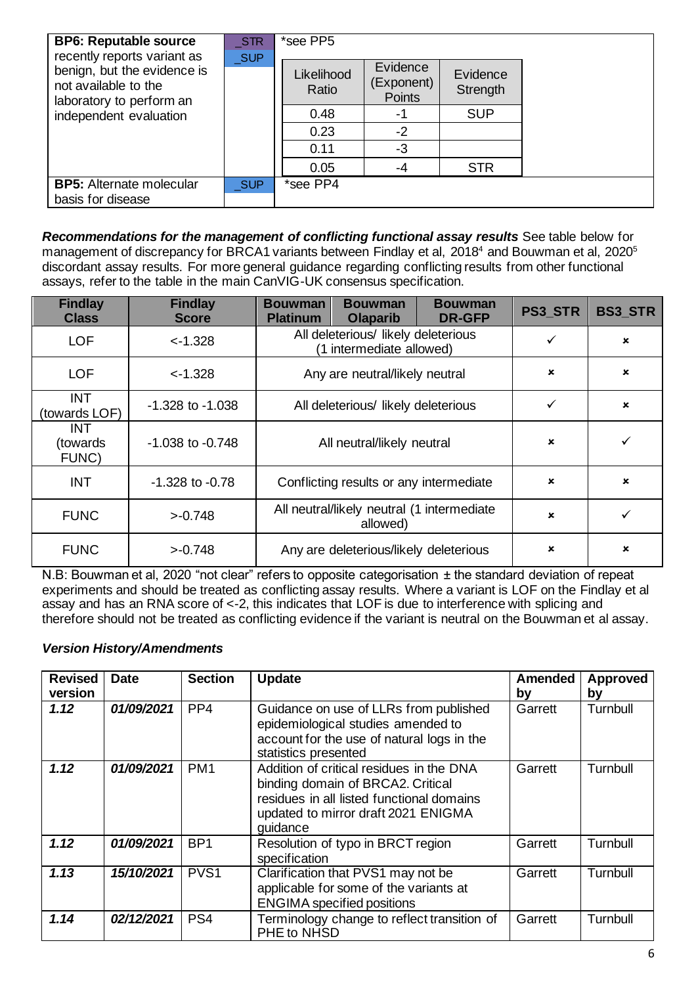| <b>BP6: Reputable source</b><br>recently reports variant as                     | STR        | *see PP5            |                                         |                      |  |
|---------------------------------------------------------------------------------|------------|---------------------|-----------------------------------------|----------------------|--|
| benign, but the evidence is<br>not available to the<br>laboratory to perform an | <b>SUP</b> | Likelihood<br>Ratio | Evidence<br>(Exponent)<br><b>Points</b> | Evidence<br>Strength |  |
| independent evaluation                                                          |            | 0.48                | -1                                      | <b>SUP</b>           |  |
|                                                                                 |            | 0.23                | $-2$                                    |                      |  |
|                                                                                 |            | 0.11                | -3                                      |                      |  |
|                                                                                 |            | 0.05                | -4                                      | <b>STR</b>           |  |
| <b>BP5:</b> Alternate molecular<br>basis for disease                            | <b>SUP</b> | *see PP4            |                                         |                      |  |

*Recommendations for the management of conflicting functional assay results* See table below for management of discrepancy for BRCA1 variants between Findlay et al, 2018<sup>4</sup> and Bouwman et al, 2020<sup>5</sup> discordant assay results. For more general guidance regarding conflicting results from other functional assays, refer to the table in the main CanVIG-UK consensus specification.

| <b>Findlay</b><br><b>Class</b>   | <b>Findlay</b><br><b>Score</b> | Bouwman<br><b>Platinum</b>                                      | <b>Bouwman</b><br>Olaparib             | <b>Bouwman</b><br><b>DR-GFP</b> | <b>PS3 STR</b>            | <b>BS3 STR</b>            |
|----------------------------------|--------------------------------|-----------------------------------------------------------------|----------------------------------------|---------------------------------|---------------------------|---------------------------|
| <b>LOF</b>                       | $< -1.328$                     | All deleterious/ likely deleterious<br>(1 intermediate allowed) |                                        |                                 | $\checkmark$              | $\boldsymbol{\mathsf{x}}$ |
| <b>LOF</b>                       | $< -1.328$                     | Any are neutral/likely neutral                                  |                                        |                                 | $\pmb{\times}$            | $\boldsymbol{\mathsf{x}}$ |
| <b>INT</b><br>(towards LOF)      | $-1.328$ to $-1.038$           | All deleterious/ likely deleterious                             |                                        |                                 | ✓                         | $\boldsymbol{\mathsf{x}}$ |
| <b>INT</b><br>(towards)<br>FUNC) | $-1.038$ to $-0.748$           | All neutral/likely neutral                                      |                                        | $\boldsymbol{\mathsf{x}}$       | ✓                         |                           |
| <b>INT</b>                       | $-1.328$ to $-0.78$            | Conflicting results or any intermediate                         |                                        | $\boldsymbol{\mathsf{x}}$       | $\boldsymbol{\mathsf{x}}$ |                           |
| <b>FUNC</b>                      | $>-0.748$                      | All neutral/likely neutral (1 intermediate<br>allowed)          |                                        | $\pmb{\times}$                  |                           |                           |
| <b>FUNC</b>                      | $>-0.748$                      |                                                                 | Any are deleterious/likely deleterious |                                 | $\pmb{\times}$            | $\boldsymbol{\mathsf{x}}$ |

N.B: Bouwman et al, 2020 "not clear" refers to opposite categorisation ± the standard deviation of repeat experiments and should be treated as conflicting assay results. Where a variant is LOF on the Findlay et al assay and has an RNA score of <-2, this indicates that LOF is due to interference with splicing and therefore should not be treated as conflicting evidence if the variant is neutral on the Bouwman et al assay.

#### *Version History/Amendments*

| <b>Revised</b>  | <b>Date</b> | <b>Section</b>   | <b>Update</b>                                                                                                                                                                 | Amended       | <b>Approved</b> |
|-----------------|-------------|------------------|-------------------------------------------------------------------------------------------------------------------------------------------------------------------------------|---------------|-----------------|
| version<br>1.12 | 01/09/2021  | PP <sub>4</sub>  | Guidance on use of LLRs from published<br>epidemiological studies amended to<br>account for the use of natural logs in the<br>statistics presented                            | by<br>Garrett | by<br>Turnbull  |
| 1.12            | 01/09/2021  | PM <sub>1</sub>  | Addition of critical residues in the DNA<br>binding domain of BRCA2. Critical<br>residues in all listed functional domains<br>updated to mirror draft 2021 ENIGMA<br>quidance | Garrett       | Turnbull        |
| 1.12            | 01/09/2021  | BP <sub>1</sub>  | Resolution of typo in BRCT region<br>specification                                                                                                                            | Garrett       | Turnbull        |
| 1.13            | 15/10/2021  | PVS <sub>1</sub> | Clarification that PVS1 may not be<br>applicable for some of the variants at<br><b>ENGIMA</b> specified positions                                                             | Garrett       | Turnbull        |
| 1.14            | 02/12/2021  | PS <sub>4</sub>  | Terminology change to reflect transition of<br>PHE to NHSD                                                                                                                    | Garrett       | Turnbull        |